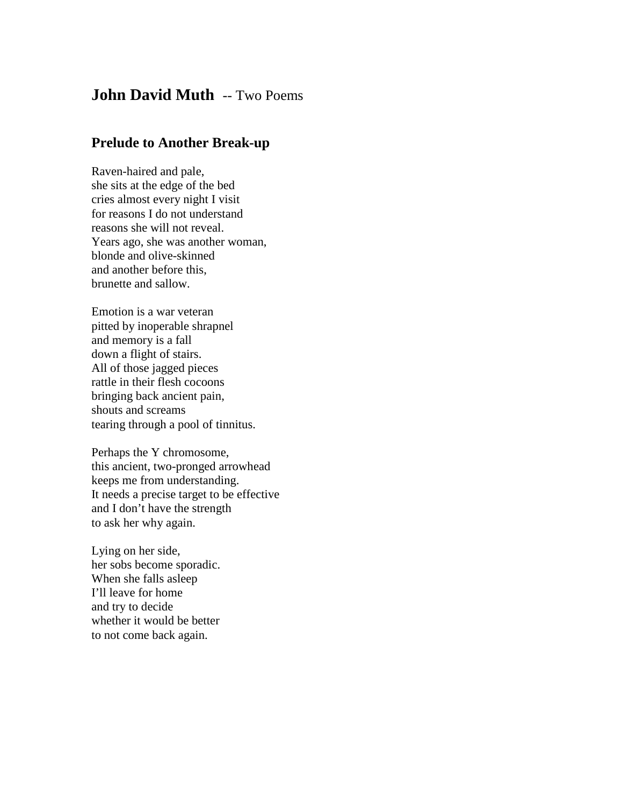## **John David Muth** -- Two Poems

## **Prelude to Another Break-up**

Raven-haired and pale, she sits at the edge of the bed cries almost every night I visit for reasons I do not understand reasons she will not reveal. Years ago, she was another woman, blonde and olive-skinned and another before this, brunette and sallow.

Emotion is a war veteran pitted by inoperable shrapnel and memory is a fall down a flight of stairs. All of those jagged pieces rattle in their flesh cocoons bringing back ancient pain, shouts and screams tearing through a pool of tinnitus.

Perhaps the Y chromosome, this ancient, two-pronged arrowhead keeps me from understanding. It needs a precise target to be effective and I don't have the strength to ask her why again.

Lying on her side, her sobs become sporadic. When she falls asleep I'll leave for home and try to decide whether it would be better to not come back again.